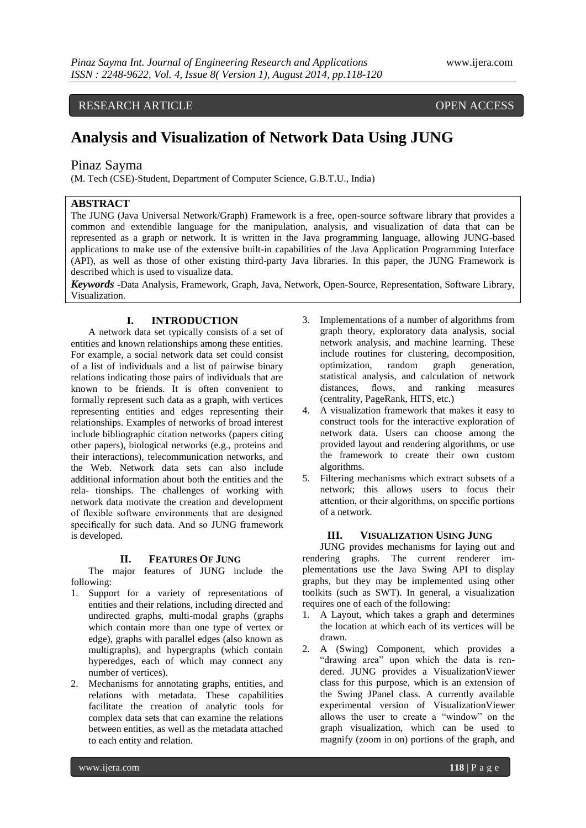# RESEARCH ARTICLE OPEN ACCESS

# **Analysis and Visualization of Network Data Using JUNG**

# Pinaz Sayma

(M. Tech (CSE)-Student, Department of Computer Science, G.B.T.U., India)

# **ABSTRACT**

The JUNG (Java Universal Network/Graph) Framework is a free, open-source software library that provides a common and extendible language for the manipulation, analysis, and visualization of data that can be represented as a graph or network. It is written in the Java programming language, allowing JUNG-based applications to make use of the extensive built-in capabilities of the Java Application Programming Interface (API), as well as those of other existing third-party Java libraries. In this paper, the JUNG Framework is described which is used to visualize data.

*Keywords* **-**Data Analysis, Framework, Graph, Java, Network, Open-Source, Representation, Software Library, Visualization.

## **I. INTRODUCTION**

A network data set typically consists of a set of entities and known relationships among these entities. For example, a social network data set could consist of a list of individuals and a list of pairwise binary relations indicating those pairs of individuals that are known to be friends. It is often convenient to formally represent such data as a graph, with vertices representing entities and edges representing their relationships. Examples of networks of broad interest include bibliographic citation networks (papers citing other papers), biological networks (e.g., proteins and their interactions), telecommunication networks, and the Web. Network data sets can also include additional information about both the entities and the rela- tionships. The challenges of working with network data motivate the creation and development of flexible software environments that are designed specifically for such data. And so JUNG framework is developed.

#### **II. FEATURES OF JUNG**

The major features of JUNG include the following:

- 1. Support for a variety of representations of entities and their relations, including directed and undirected graphs, multi-modal graphs (graphs which contain more than one type of vertex or edge), graphs with parallel edges (also known as multigraphs), and hypergraphs (which contain hyperedges, each of which may connect any number of vertices).
- 2. Mechanisms for annotating graphs, entities, and relations with metadata. These capabilities facilitate the creation of analytic tools for complex data sets that can examine the relations between entities, as well as the metadata attached to each entity and relation.
- 3. Implementations of a number of algorithms from graph theory, exploratory data analysis, social network analysis, and machine learning. These include routines for clustering, decomposition,<br>optimization, random graph generation, optimization, random graph statistical analysis, and calculation of network distances, flows, and ranking measures (centrality, PageRank, HITS, etc.)
- 4. A visualization framework that makes it easy to construct tools for the interactive exploration of network data. Users can choose among the provided layout and rendering algorithms, or use the framework to create their own custom algorithms.
- 5. Filtering mechanisms which extract subsets of a network; this allows users to focus their attention, or their algorithms, on specific portions of a network.

#### **III. VISUALIZATION USING JUNG**

JUNG provides mechanisms for laying out and rendering graphs. The current renderer implementations use the Java Swing API to display graphs, but they may be implemented using other toolkits (such as SWT). In general, a visualization requires one of each of the following:

- 1. A Layout, which takes a graph and determines the location at which each of its vertices will be drawn.
- 2. A (Swing) Component, which provides a "drawing area" upon which the data is rendered. JUNG provides a VisualizationViewer class for this purpose, which is an extension of the Swing JPanel class. A currently available experimental version of VisualizationViewer allows the user to create a "window" on the graph visualization, which can be used to magnify (zoom in on) portions of the graph, and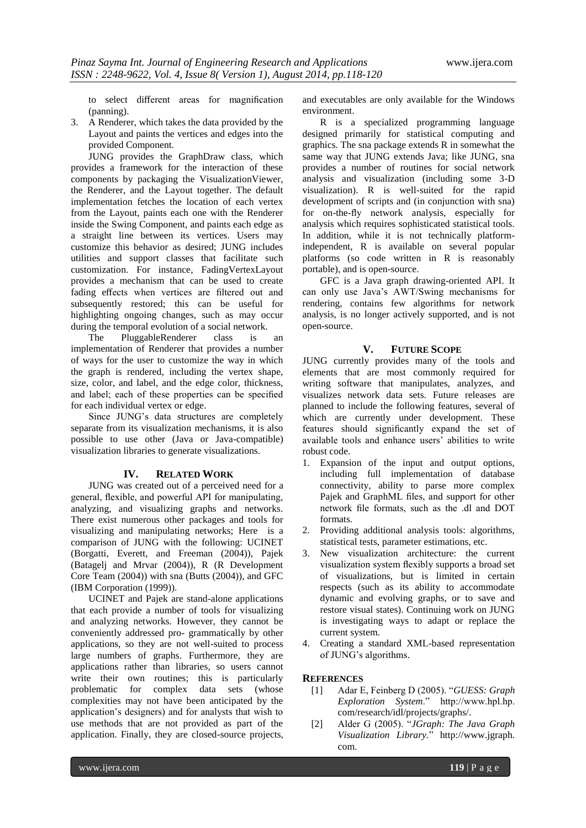to select different areas for magnification (panning).

3. A Renderer, which takes the data provided by the Layout and paints the vertices and edges into the provided Component.

JUNG provides the GraphDraw class, which provides a framework for the interaction of these components by packaging the VisualizationViewer, the Renderer, and the Layout together. The default implementation fetches the location of each vertex from the Layout, paints each one with the Renderer inside the Swing Component, and paints each edge as a straight line between its vertices. Users may customize this behavior as desired; JUNG includes utilities and support classes that facilitate such customization. For instance, FadingVertexLayout provides a mechanism that can be used to create fading effects when vertices are filtered out and subsequently restored; this can be useful for highlighting ongoing changes, such as may occur during the temporal evolution of a social network.

The PluggableRenderer class is an implementation of Renderer that provides a number of ways for the user to customize the way in which the graph is rendered, including the vertex shape, size, color, and label, and the edge color, thickness, and label; each of these properties can be specified for each individual vertex or edge.

Since JUNG's data structures are completely separate from its visualization mechanisms, it is also possible to use other (Java or Java-compatible) visualization libraries to generate visualizations.

### **IV. RELATED WORK**

JUNG was created out of a perceived need for a general, flexible, and powerful API for manipulating, analyzing, and visualizing graphs and networks. There exist numerous other packages and tools for visualizing and manipulating networks; Here is a comparison of JUNG with the following: UCINET (Borgatti, Everett, and Freeman (2004)), Pajek (Batagelj and Mrvar (2004)), R (R Development Core Team (2004)) with sna (Butts (2004)), and GFC (IBM Corporation (1999)).

UCINET and Pajek are stand-alone applications that each provide a number of tools for visualizing and analyzing networks. However, they cannot be conveniently addressed pro- grammatically by other applications, so they are not well-suited to process large numbers of graphs. Furthermore, they are applications rather than libraries, so users cannot write their own routines; this is particularly problematic for complex data sets (whose complexities may not have been anticipated by the application's designers) and for analysts that wish to use methods that are not provided as part of the application. Finally, they are closed-source projects, and executables are only available for the Windows environment.

R is a specialized programming language designed primarily for statistical computing and graphics. The sna package extends R in somewhat the same way that JUNG extends Java; like JUNG, sna provides a number of routines for social network analysis and visualization (including some 3-D visualization). R is well-suited for the rapid development of scripts and (in conjunction with sna) for on-the-fly network analysis, especially for analysis which requires sophisticated statistical tools. In addition, while it is not technically platformindependent, R is available on several popular platforms (so code written in R is reasonably portable), and is open-source.

GFC is a Java graph drawing-oriented API. It can only use Java's AWT/Swing mechanisms for rendering, contains few algorithms for network analysis, is no longer actively supported, and is not open-source.

#### **V. FUTURE SCOPE**

JUNG currently provides many of the tools and elements that are most commonly required for writing software that manipulates, analyzes, and visualizes network data sets. Future releases are planned to include the following features, several of which are currently under development. These features should significantly expand the set of available tools and enhance users' abilities to write robust code.

- 1. Expansion of the input and output options, including full implementation of database connectivity, ability to parse more complex Pajek and GraphML files, and support for other network file formats, such as the .dl and DOT formats.
- 2. Providing additional analysis tools: algorithms, statistical tests, parameter estimations, etc.
- 3. New visualization architecture: the current visualization system flexibly supports a broad set of visualizations, but is limited in certain respects (such as its ability to accommodate dynamic and evolving graphs, or to save and restore visual states). Continuing work on JUNG is investigating ways to adapt or replace the current system.
- 4. Creating a standard XML-based representation of JUNG's algorithms.

#### **REFERENCES**

- [1] Adar E, Feinberg D (2005). "*GUESS: Graph Exploration System*." http://www.hpl.hp. com/research/idl/projects/graphs/.
- [2] Alder G (2005). "*JGraph: The Java Graph Visualization Library.*" http://www.jgraph. com.